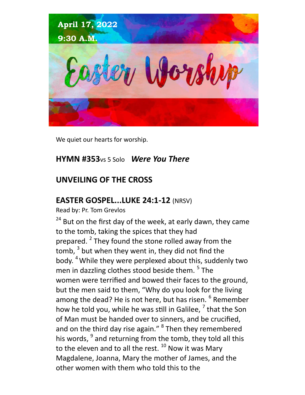

We quiet our hearts for worship.

# **HYMN #353**vs 5 Solo *Were You There*

# **UNVEILING OF THE CROSS**

# **EASTER GOSPEL...LUKE 24:1-12** (NRSV)

Read by: Pr. Tom Grevlos

 $24$  But on the first day of the week, at early dawn, they came to the tomb, taking the spices that they had prepared. <sup>2</sup> They found the stone rolled away from the tomb,  $^3$  but when they went in, they did not find the body. <sup>4</sup> While they were perplexed about this, suddenly two men in dazzling clothes stood beside them. <sup>5</sup> The women were terrified and bowed their faces to the ground, but the men said to them, "Why do you look for the living among the dead? He is not here, but has risen. <sup>6</sup> Remember how he told you, while he was still in Galilee,  $^7$  that the Son of Man must be handed over to sinners, and be crucified, and on the third day rise again." <sup>8</sup> Then they remembered his words, <sup>9</sup> and returning from the tomb, they told all this to the eleven and to all the rest.  $^{10}$  Now it was Mary Magdalene, Joanna, Mary the mother of James, and the other women with them who told this to the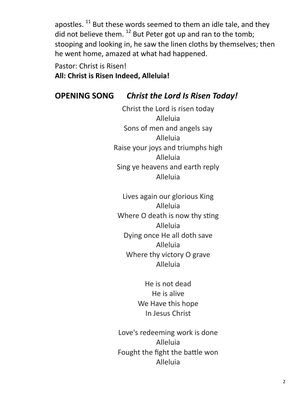apostles.  $^{11}$  But these words seemed to them an idle tale, and they did not believe them.  $^{12}$  But Peter got up and ran to the tomb; stooping and looking in, he saw the linen cloths by themselves; then he went home, amazed at what had happened.

Pastor: Christ is Risen! **All: Christ is Risen Indeed, Alleluia!**

# **OPENING SONG** *Christ the Lord Is Risen Today!*

Christ the Lord is risen today Alleluia Sons of men and angels say Alleluia Raise your joys and triumphs high Alleluia Sing ye heavens and earth reply Alleluia

Lives again our glorious King Alleluia Where O death is now thy sting Alleluia Dying once He all doth save Alleluia Where thy victory O grave Alleluia

> He is not dead He is alive We Have this hope In Jesus Christ

Love's redeeming work is done Alleluia Fought the fight the battle won Alleluia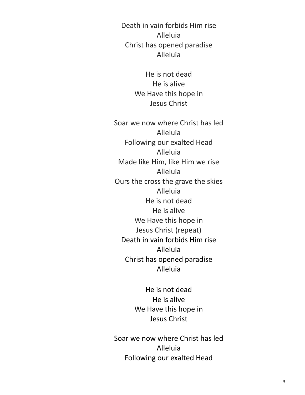Death in vain forbids Him rise Alleluia Christ has opened paradise Alleluia

> He is not dead He is alive We Have this hope in Jesus Christ

Soar we now where Christ has led Alleluia Following our exalted Head Alleluia Made like Him, like Him we rise Alleluia Ours the cross the grave the skies Alleluia He is not dead He is alive We Have this hope in Jesus Christ (repeat) Death in vain forbids Him rise Alleluia Christ has opened paradise Alleluia

> He is not dead He is alive We Have this hope in Jesus Christ

Soar we now where Christ has led Alleluia Following our exalted Head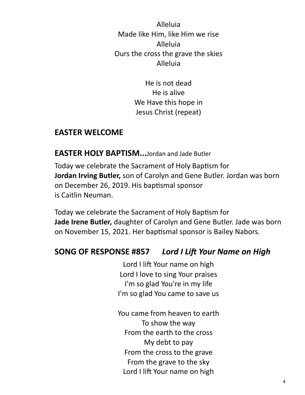Alleluia Made like Him, like Him we rise Alleluia Ours the cross the grave the skies Alleluia

> He is not dead He is alive We Have this hope in Jesus Christ (repeat)

### **EASTER WELCOME**

**EASTER HOLY BAPTISM...**Jordan and Jade Butler

Today we celebrate the Sacrament of Holy Baptism for **Jordan Irving Butler,** son of Carolyn and Gene Butler. Jordan was born on December 26, 2019. His baptismal sponsor is Caitlin Neuman.

Today we celebrate the Sacrament of Holy Baptism for **Jade Irene Butler,** daughter of Carolyn and Gene Butler. Jade was born on November 15, 2021. Her baptismal sponsor is Bailey Nabors.

# **SONG OF RESPONSE #857** *Lord I Lift Your Name on High*

Lord I lift Your name on high Lord I love to sing Your praises I'm so glad You're in my life I'm so glad You came to save us

You came from heaven to earth To show the way From the earth to the cross My debt to pay From the cross to the grave From the grave to the sky Lord I lift Your name on high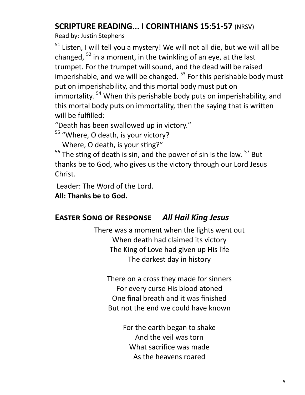# **SCRIPTURE READING... I CORINTHIANS 15:51-57** (NRSV)

Read by: Justin Stephens

 $51$  Listen, I will tell you a mystery! We will not all die, but we will all be changed,  $52$  in a moment, in the twinkling of an eye, at the last trumpet. For the trumpet will sound, and the dead will be raised imperishable, and we will be changed.  $53$  For this perishable body must put on imperishability, and this mortal body must put on immortality.<sup>54</sup> When this perishable body puts on imperishability, and this mortal body puts on immortality, then the saying that is written will be fulfilled:

"Death has been swallowed up in victory."

<sup>55</sup> "Where, O death, is your victory?

Where, O death, is your sting?"

 $56$  The sting of death is sin, and the power of sin is the law.  $57$  But thanks be to God, who gives us the victory through our Lord Jesus Christ.

Leader: The Word of the Lord.

#### **All: Thanks be to God.**

# **Easter Song of Response** *All Hail King Jesus*

There was a moment when the lights went out When death had claimed its victory The King of Love had given up His life The darkest day in history

There on a cross they made for sinners For every curse His blood atoned One final breath and it was finished But not the end we could have known

> For the earth began to shake And the veil was torn What sacrifice was made As the heavens roared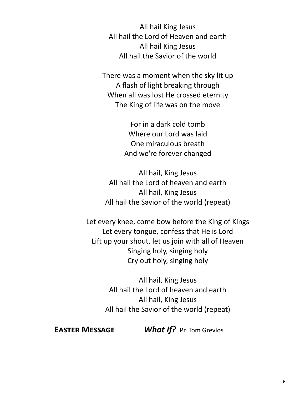All hail King Jesus All hail the Lord of Heaven and earth All hail King Jesus All hail the Savior of the world

There was a moment when the sky lit up A flash of light breaking through When all was lost He crossed eternity The King of life was on the move

> For in a dark cold tomb Where our Lord was laid One miraculous breath And we're forever changed

All hail, King Jesus All hail the Lord of heaven and earth All hail, King Jesus All hail the Savior of the world (repeat)

Let every knee, come bow before the King of Kings Let every tongue, confess that He is Lord Lift up your shout, let us join with all of Heaven Singing holy, singing holy Cry out holy, singing holy

> All hail, King Jesus All hail the Lord of heaven and earth All hail, King Jesus All hail the Savior of the world (repeat)

**Easter Message** *What If?* Pr. Tom Grevlos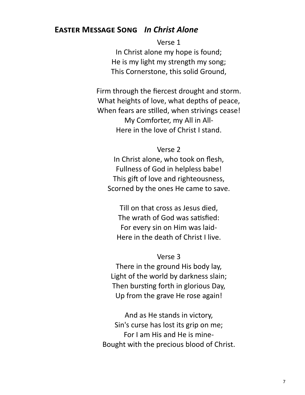#### **Easter Message Song** *In Christ Alone*

Verse 1 In Christ alone my hope is found; He is my light my strength my song; This Cornerstone, this solid Ground,

Firm through the fiercest drought and storm. What heights of love, what depths of peace, When fears are stilled, when strivings cease! My Comforter, my All in All-Here in the love of Christ I stand.

#### Verse 2

In Christ alone, who took on flesh, Fullness of God in helpless babe! This gift of love and righteousness, Scorned by the ones He came to save.

Till on that cross as Jesus died, The wrath of God was satisfied: For every sin on Him was laid-Here in the death of Christ I live.

#### Verse 3

There in the ground His body lay, Light of the world by darkness slain; Then bursting forth in glorious Day, Up from the grave He rose again!

And as He stands in victory, Sin's curse has lost its grip on me; For I am His and He is mine-Bought with the precious blood of Christ.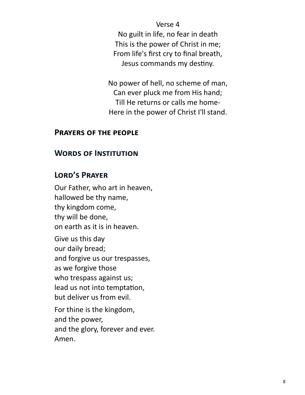#### Verse 4

No guilt in life, no fear in death This is the power of Christ in me; From life's first cry to final breath, Jesus commands my destiny.

No power of hell, no scheme of man, Can ever pluck me from His hand; Till He returns or calls me home-Here in the power of Christ I'll stand.

#### **Prayers of the people**

#### **Words of Institution**

#### **Lord's Prayer**

Our Father, who art in heaven, hallowed be thy name, thy kingdom come, thy will be done, on earth as it is in heaven. Give us this day our daily bread; and forgive us our trespasses, as we forgive those who trespass against us; lead us not into temptation, but deliver us from evil. For thine is the kingdom, and the power,

and the glory, forever and ever.

Amen.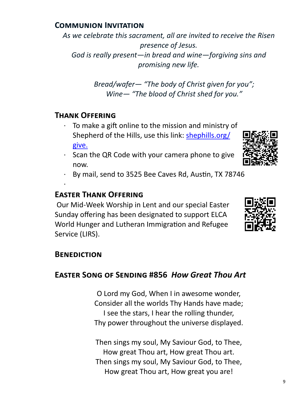# **Communion Invitation**

*As we celebrate this sacrament, all are invited to receive the Risen presence of Jesus. God is really present—in bread and wine—forgiving sins and promising new life.* 

> *Bread/wafer— "The body of Christ given for you"; Wine— "The blood of Christ shed for you."*

#### **Thank Offering**

- To make a gift online to the mission and ministry of Shepherd of the Hills, use this link: [shephills.org/](https://shephills.org/give/) [give.](https://shephills.org/give/)
- $\cdot$  Scan the QR Code with your camera phone to give now.
- By mail, send to 3525 Bee Caves Rd, Austin, TX 78746

## **Easter Thank Offering**

Our Mid-Week Worship in Lent and our special Easter Sunday offering has been designated to support ELCA World Hunger and Lutheran Immigration and Refugee Service (LIRS).

#### **Benediction**

·

#### **Easter Song of Sending #856** *How Great Thou Art*

O Lord my God, When I in awesome wonder, Consider all the worlds Thy Hands have made; I see the stars, I hear the rolling thunder, Thy power throughout the universe displayed.

Then sings my soul, My Saviour God, to Thee, How great Thou art, How great Thou art. Then sings my soul, My Saviour God, to Thee, How great Thou art, How great you are!

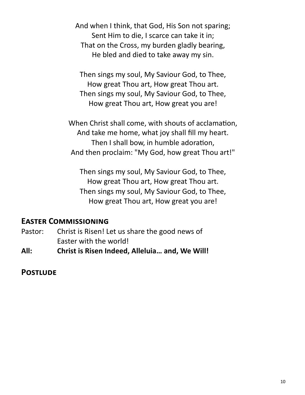And when I think, that God, His Son not sparing; Sent Him to die, I scarce can take it in; That on the Cross, my burden gladly bearing, He bled and died to take away my sin.

Then sings my soul, My Saviour God, to Thee, How great Thou art, How great Thou art. Then sings my soul, My Saviour God, to Thee, How great Thou art, How great you are!

When Christ shall come, with shouts of acclamation, And take me home, what joy shall fill my heart. Then I shall bow, in humble adoration, And then proclaim: "My God, how great Thou art!"

Then sings my soul, My Saviour God, to Thee, How great Thou art, How great Thou art. Then sings my soul, My Saviour God, to Thee, How great Thou art, How great you are!

# **Easter Commissioning**

- Pastor: Christ is Risen! Let us share the good news of Easter with the world!
- **All: Christ is Risen Indeed, Alleluia… and, We Will!**

# **Postlude**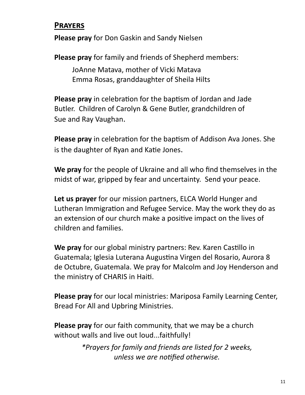# **Prayers**

**Please pray** for Don Gaskin and Sandy Nielsen

**Please pray** for family and friends of Shepherd members:

JoAnne Matava, mother of Vicki Matava Emma Rosas, granddaughter of Sheila Hilts

**Please pray** in celebration for the baptism of Jordan and Jade Butler. Children of Carolyn & Gene Butler, grandchildren of Sue and Ray Vaughan.

**Please pray** in celebration for the baptism of Addison Ava Jones. She is the daughter of Ryan and Katie Jones.

**We pray** for the people of Ukraine and all who find themselves in the midst of war, gripped by fear and uncertainty. Send your peace.

**Let us prayer** for our mission partners, ELCA World Hunger and Lutheran Immigration and Refugee Service. May the work they do as an extension of our church make a positive impact on the lives of children and families.

**We pray** for our global ministry partners: Rev. Karen Castillo in Guatemala; Iglesia Luterana Augustina Virgen del Rosario, Aurora 8 de Octubre, Guatemala. We pray for Malcolm and Joy Henderson and the ministry of CHARIS in Haiti.

**Please pray** for our local ministries: Mariposa Family Learning Center, Bread For All and Upbring Ministries.

**Please pray** for our faith community, that we may be a church without walls and live out loud...faithfully!

> *\*Prayers for family and friends are listed for 2 weeks, unless we are notified otherwise.*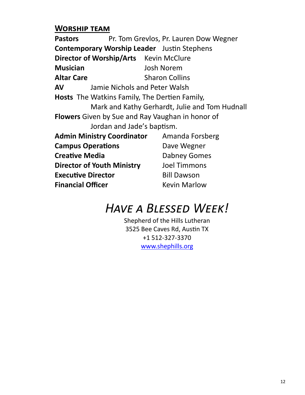# **Worship team**

Pastors **Pr. Tom Grevlos, Pr. Lauren Dow Wegner Contemporary Worship Leader** Justin Stephens **Director of Worship/Arts** Kevin McClure **Musician** Josh Norem **Altar Care** Sharon Collins **AV** Jamie Nichols and Peter Walsh **Hosts** The Watkins Family, The Dertien Family, Mark and Kathy Gerhardt, Julie and Tom Hudnall **Flowers** Given by Sue and Ray Vaughan in honor of Jordan and Jade's baptism. **Admin Ministry Coordinator** Amanda Forsberg **Campus Operations** Dave Wegner **Creative Media** Dabney Gomes **Director of Youth Ministry** Joel Timmons **Executive Director** Bill Dawson

**Financial Officer** Kevin Marlow

# *Have a Blessed Week!*

Shepherd of the Hills Lutheran 3525 Bee Caves Rd, Austin TX +1 512-327-3370 [www.shephills.org](http://www.shephills.org)